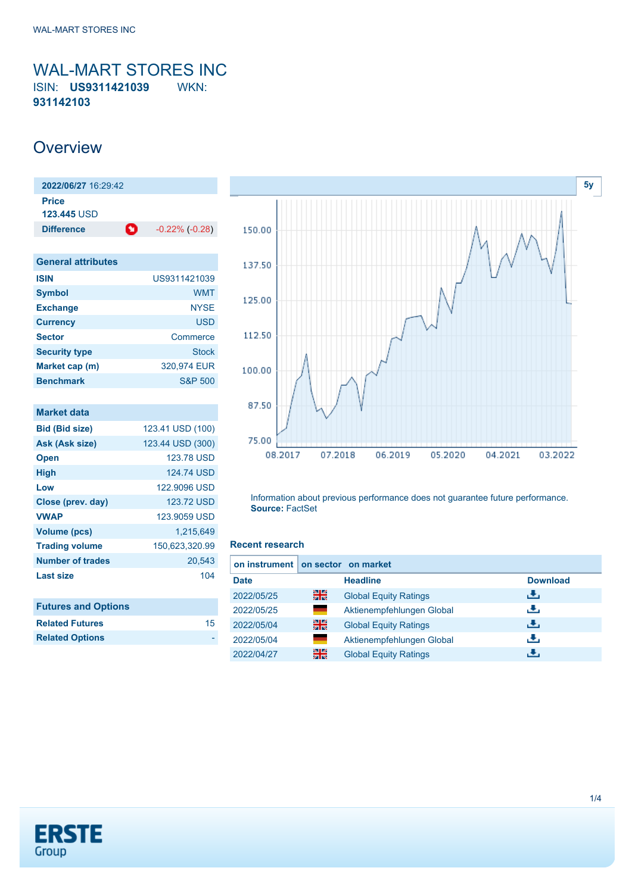<span id="page-0-0"></span>WAL-MART STORES INC ISIN: **US9311421039** WKN: **931142103**

### **Overview**

| 2022/06/27 16:29:42         |   |                       |
|-----------------------------|---|-----------------------|
| Price<br><b>123.445 USD</b> |   |                       |
| <b>Difference</b>           | o | $-0.22\%$ ( $-0.28$ ) |
| <b>General attributes</b>   |   |                       |

| <b>ISIN</b>          | US9311421039       |
|----------------------|--------------------|
| <b>Symbol</b>        | <b>WMT</b>         |
| <b>Exchange</b>      | NYSE               |
| <b>Currency</b>      | USD                |
| <b>Sector</b>        | Commerce           |
| <b>Security type</b> | Stock              |
| Market cap (m)       | 320.974 EUR        |
| <b>Benchmark</b>     | <b>S&amp;P 500</b> |

| Market data                |                   |
|----------------------------|-------------------|
| <b>Bid (Bid size)</b>      | 123.41 USD (100)  |
| Ask (Ask size)             | 123.44 USD (300)  |
| <b>Open</b>                | <b>123.78 USD</b> |
| <b>High</b>                | 124.74 USD        |
| Low                        | 122,9096 USD      |
| Close (prev. day)          | 123.72 USD        |
| <b>VWAP</b>                | 123,9059 USD      |
| <b>Volume (pcs)</b>        | 1.215.649         |
| <b>Trading volume</b>      | 150,623,320.99    |
| Number of trades           | 20,543            |
| Last size                  | 104               |
|                            |                   |
| <b>Futures and Options</b> |                   |
| <b>Related Futures</b>     | 15                |



Information about previous performance does not guarantee future performance. **Source:** FactSet

#### **Recent research**

| on instrument on sector on market |    |                              |                 |
|-----------------------------------|----|------------------------------|-----------------|
| <b>Date</b>                       |    | <b>Headline</b>              | <b>Download</b> |
| 2022/05/25                        | 꾉쭍 | <b>Global Equity Ratings</b> | رنان            |
| 2022/05/25                        | ٠  | Aktienempfehlungen Global    | æ,              |
| 2022/05/04                        | 噐  | <b>Global Equity Ratings</b> | رالى            |
| 2022/05/04                        | ٠  | Aktienempfehlungen Global    | J.              |
| 2022/04/27                        | 噐  | <b>Global Equity Ratings</b> |                 |



**Related Options**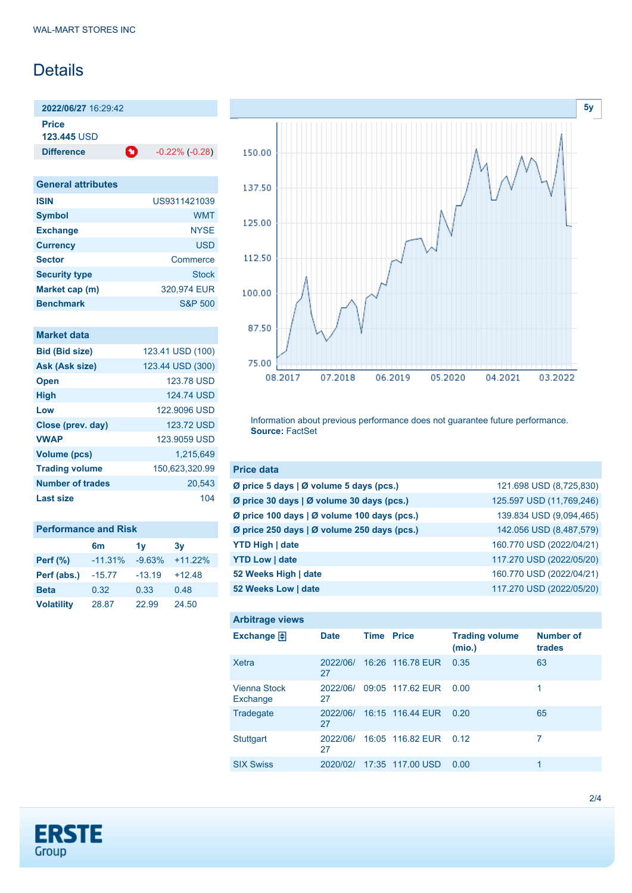## Details

**2022/06/27** 16:29:42

**Price**

**123.445** USD

**Difference 1** -0.22% (-0.28)

| <b>General attributes</b> |                    |
|---------------------------|--------------------|
| <b>ISIN</b>               | US9311421039       |
| <b>Symbol</b>             | <b>WMT</b>         |
| <b>Exchange</b>           | <b>NYSE</b>        |
| <b>Currency</b>           | USD                |
| <b>Sector</b>             | Commerce           |
| <b>Security type</b>      | Stock              |
| Market cap (m)            | 320.974 EUR        |
| <b>Benchmark</b>          | <b>S&amp;P 500</b> |

| Market data             |                  |
|-------------------------|------------------|
| <b>Bid (Bid size)</b>   | 123.41 USD (100) |
| Ask (Ask size)          | 123.44 USD (300) |
| <b>Open</b>             | 123.78 USD       |
| <b>High</b>             | 124.74 USD       |
| Low                     | 122,9096 USD     |
| Close (prev. day)       | 123.72 USD       |
| <b>VWAP</b>             | 123,9059 USD     |
| <b>Volume (pcs)</b>     | 1.215.649        |
| <b>Trading volume</b>   | 150,623,320.99   |
| <b>Number of trades</b> | 20,543           |
| Last size               | 104              |
|                         |                  |

| <b>Performance and Risk</b> |                |          |           |  |
|-----------------------------|----------------|----------|-----------|--|
|                             | 6 <sub>m</sub> | 1v       | 3v        |  |
| <b>Perf (%)</b>             | $-11.31%$      | $-9.63%$ | $+11.22%$ |  |
| Perf (abs.)                 | $-15.77$       | $-13.19$ | $+12.48$  |  |
| <b>Beta</b>                 | 0.32           | 0.33     | 0.48      |  |
| <b>Volatility</b>           | 28.87          | 22.99    | 24.50     |  |



Information about previous performance does not guarantee future performance. **Source:** FactSet

| <b>Price data</b>                                         |                          |
|-----------------------------------------------------------|--------------------------|
| $\emptyset$ price 5 days $\emptyset$ volume 5 days (pcs.) | 121.698 USD (8,725,830)  |
| Ø price 30 days   Ø volume 30 days (pcs.)                 | 125.597 USD (11,769,246) |
| Ø price 100 days   Ø volume 100 days (pcs.)               | 139.834 USD (9,094,465)  |
| Ø price 250 days   Ø volume 250 days (pcs.)               | 142.056 USD (8,487,579)  |
| <b>YTD High   date</b>                                    | 160.770 USD (2022/04/21) |
| <b>YTD Low   date</b>                                     | 117.270 USD (2022/05/20) |
| 52 Weeks High   date                                      | 160.770 USD (2022/04/21) |
| 52 Weeks Low   date                                       | 117.270 USD (2022/05/20) |

| <b>Arbitrage views</b>          |                |                   |                  |                                 |                            |
|---------------------------------|----------------|-------------------|------------------|---------------------------------|----------------------------|
| Exchange $\Box$                 | <b>Date</b>    | <b>Time Price</b> |                  | <b>Trading volume</b><br>(mio.) | <b>Number of</b><br>trades |
| Xetra                           | 2022/06/<br>27 |                   | 16:26 116.78 EUR | 0.35                            | 63                         |
| <b>Vienna Stock</b><br>Exchange | 2022/06/<br>27 |                   | 09:05 117.62 EUR | 0.00                            | 1                          |
| Tradegate                       | 2022/06/<br>27 |                   | 16:15 116.44 EUR | 0.20                            | 65                         |
| <b>Stuttgart</b>                | 2022/06/<br>27 |                   | 16:05 116.82 EUR | 0.12                            | 7                          |
| <b>SIX Swiss</b>                | 2020/02/       |                   | 17:35 117.00 USD | 0.00                            | 1                          |

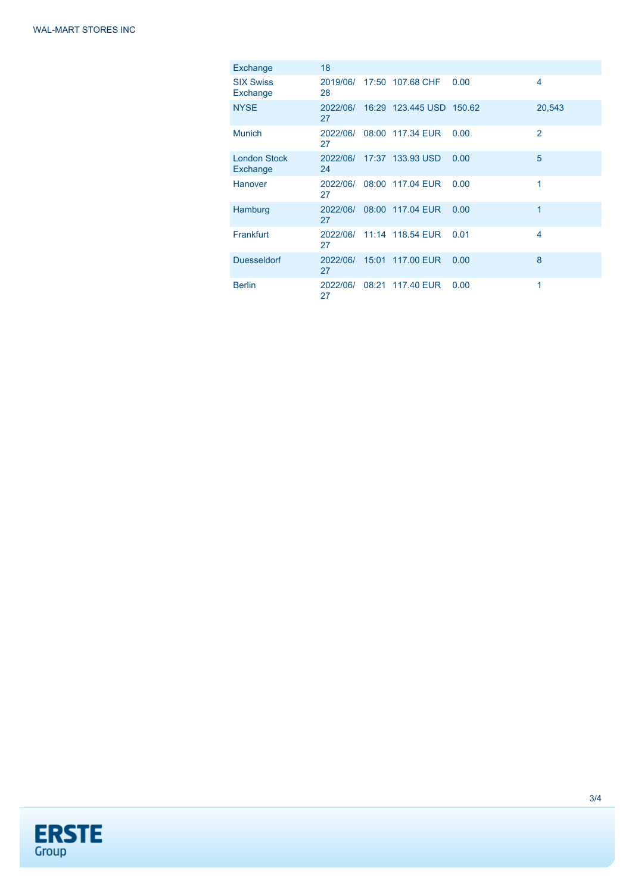| Exchange                        | 18             |                                   |      |               |
|---------------------------------|----------------|-----------------------------------|------|---------------|
| <b>SIX Swiss</b><br>Exchange    | 28             | 2019/06/ 17:50 107.68 CHF         | 0.00 | 4             |
| <b>NYSE</b>                     | 27             | 2022/06/ 16:29 123.445 USD 150.62 |      | 20,543        |
| <b>Munich</b>                   | 2022/06/<br>27 | 08:00 117.34 EUR                  | 0.00 | $\mathcal{P}$ |
| <b>London Stock</b><br>Exchange | 24             | 2022/06/ 17:37 133.93 USD         | 0.00 | 5             |
| Hanover                         | 2022/06/<br>27 | 08:00 117.04 EUR                  | 0.00 | 1             |
| Hamburg                         | 2022/06/<br>27 | 08:00 117.04 EUR                  | 0.00 | 1             |
| Frankfurt                       | 27             | 2022/06/ 11:14 118.54 EUR         | 0.01 | 4             |
| <b>Duesseldorf</b>              | 2022/06/<br>27 | 15:01 117.00 EUR                  | 0.00 | 8             |
| <b>Berlin</b>                   | 2022/06/<br>27 | 08:21 117.40 EUR                  | 0.00 | 1             |